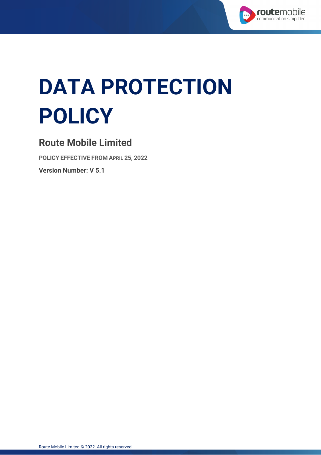

# **DATA PROTECTION POLICY**

# **Route Mobile Limited**

**POLICY EFFECTIVE FROM APRIL 25, 2022 Version Number: V 5.1**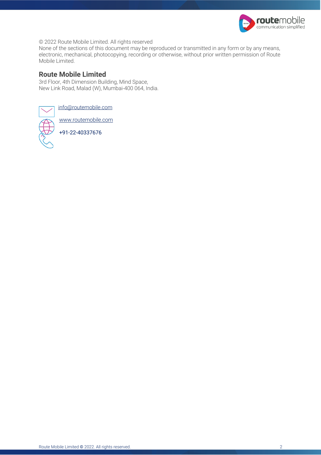

© 2022 Route Mobile Limited. All rights reserved

None of the sections of this document may be reproduced or transmitted in any form or by any means, electronic, mechanical, photocopying, recording or otherwise, without prior written permission of Route Mobile Limited.

#### **Route Mobile Limited**

3rd Floor, 4th Dimension Building, Mind Space, New Link Road, Malad (W), Mumbai-400 064, India.



info@routemobile.com

www.routemobile.com

+91-22-40337676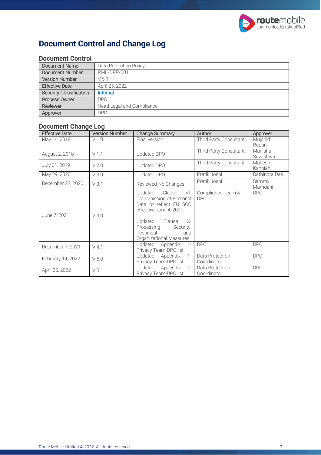

# **Document Control and Change Log**

| DOCUMENT CONTROL               |                           |  |
|--------------------------------|---------------------------|--|
| Document Name                  | Data Protection Policy    |  |
| Document Number                | RML/DPP/001               |  |
| <b>Version Number</b>          | V <sub>51</sub>           |  |
| <b>Effective Date</b>          | April 25, 2022            |  |
| <b>Security Classification</b> | Internal                  |  |
| Process Owner                  | D <sub>PO</sub>           |  |
| Reviewer                       | Head-Legal and Compliance |  |
| Approver                       | DP <sub>O</sub>           |  |

### **Document Control**

#### **Document Change Log**

| <b>Effective Date</b> | <b>Version Number</b> | <b>Change Summary</b>                                                                                                                                                                                             | Author                          | Approver              |
|-----------------------|-----------------------|-------------------------------------------------------------------------------------------------------------------------------------------------------------------------------------------------------------------|---------------------------------|-----------------------|
| May 14, 2018          | V1.0                  | Final version                                                                                                                                                                                                     | Third Party Consultant          | Mujahid<br>Rupani     |
| August 2, 2018        | V1.1                  | Updated DPO                                                                                                                                                                                                       | Third Party Consultant          | Manisha<br>Srivastava |
| July 31, 2019         | V <sub>2.0</sub>      | Updated DPO                                                                                                                                                                                                       | Third Party Consultant          | Mahesh<br>Kanniah     |
| May 29, 2020          | V3.0                  | Updated DPO                                                                                                                                                                                                       | Pratik Joshi                    | Rathindra Das         |
| December 23, 2020     | V3.1                  | Reviewed-No Changes                                                                                                                                                                                               | Pratik Joshi                    | Sammy<br>Mamdani      |
| June 7, 2021          | $V$ 4.0               | Updated<br>Clause<br>$V$ -<br>Transmission of Personal<br>Data to reflect EU SCC<br>effective June 4, 2021<br>Clause<br>Updated<br>$X-$<br>Processing<br>Security,<br>Technical<br>and<br>Organizational Measures | Compliance Team &<br><b>DPO</b> | <b>DPO</b>            |
| December 7, 2021      | $V$ 4.1               | Updated<br>Appendix<br>$1 -$<br>Privacy Team-DPC list                                                                                                                                                             | <b>DPO</b>                      | <b>DPO</b>            |
| February 14, 2022     | V <sub>5.0</sub>      | Updated<br>Appendix<br>$1 -$<br>Privacy Team-DPC list                                                                                                                                                             | Data Protection<br>Coordinator  | <b>DPO</b>            |
| April 25, 2022        | V <sub>5.1</sub>      | Updated<br>Appendix<br>$1 -$<br>Privacy Team-DPC list                                                                                                                                                             | Data Protection<br>Coordinator  | <b>DPO</b>            |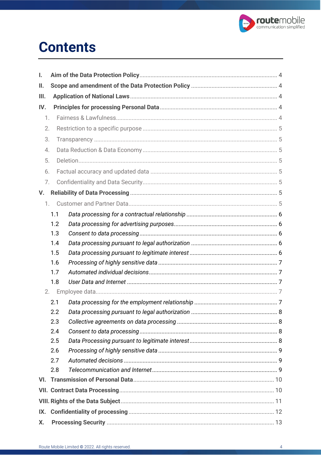

# **Contents**

| I.  |            |  |  |  |  |
|-----|------------|--|--|--|--|
| ΙΙ. |            |  |  |  |  |
| Ш.  |            |  |  |  |  |
| IV. |            |  |  |  |  |
| 1.  |            |  |  |  |  |
| 2.  |            |  |  |  |  |
| 3.  |            |  |  |  |  |
| 4.  |            |  |  |  |  |
| 5.  |            |  |  |  |  |
| 6.  |            |  |  |  |  |
| 7.  |            |  |  |  |  |
| V.  |            |  |  |  |  |
|     | 1.         |  |  |  |  |
|     | 1.1        |  |  |  |  |
|     | 1.2        |  |  |  |  |
|     | 1.3        |  |  |  |  |
|     | 1.4        |  |  |  |  |
|     | 1.5        |  |  |  |  |
|     | 1.6        |  |  |  |  |
|     | 1.7        |  |  |  |  |
|     | 1.8        |  |  |  |  |
|     | 2.         |  |  |  |  |
|     | 2.1        |  |  |  |  |
|     | 2.2        |  |  |  |  |
|     | 2.3        |  |  |  |  |
|     | 2.4        |  |  |  |  |
|     | 2.5        |  |  |  |  |
|     | 2.6        |  |  |  |  |
|     | 2.7<br>2.8 |  |  |  |  |
|     |            |  |  |  |  |
|     |            |  |  |  |  |
|     |            |  |  |  |  |
|     |            |  |  |  |  |
| IX. |            |  |  |  |  |
| Х.  |            |  |  |  |  |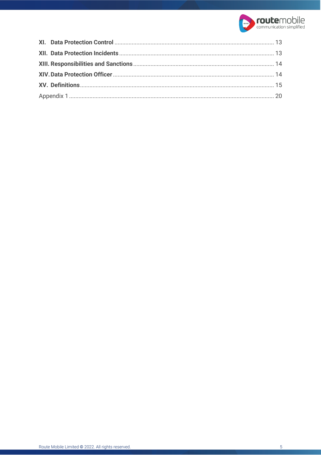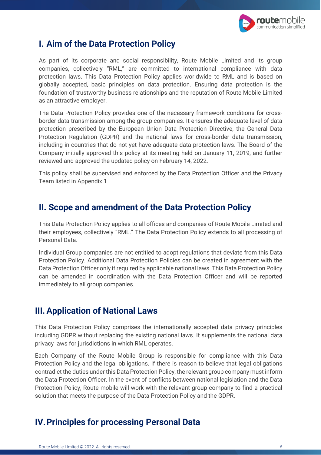

# **I. Aim of the Data Protection Policy**

As part of its corporate and social responsibility, Route Mobile Limited and its group companies, collectively "RML," are committed to international compliance with data protection laws. This Data Protection Policy applies worldwide to RML and is based on globally accepted, basic principles on data protection. Ensuring data protection is the foundation of trustworthy business relationships and the reputation of Route Mobile Limited as an attractive employer.

The Data Protection Policy provides one of the necessary framework conditions for crossborder data transmission among the group companies. It ensures the adequate level of data protection prescribed by the European Union Data Protection Directive, the General Data Protection Regulation (GDPR) and the national laws for cross-border data transmission, including in countries that do not yet have adequate data protection laws. The Board of the Company initially approved this policy at its meeting held on January 11, 2019, and further reviewed and approved the updated policy on February 14, 2022.

This policy shall be supervised and enforced by the Data Protection Officer and the Privacy Team listed in Appendix 1

# **II. Scope and amendment of the Data Protection Policy**

This Data Protection Policy applies to all offices and companies of Route Mobile Limited and their employees, collectively "RML." The Data Protection Policy extends to all processing of Personal Data.

Individual Group companies are not entitled to adopt regulations that deviate from this Data Protection Policy. Additional Data Protection Policies can be created in agreement with the Data Protection Officer only if required by applicable national laws. This Data Protection Policy can be amended in coordination with the Data Protection Officer and will be reported immediately to all group companies.

# **III.Application of National Laws**

This Data Protection Policy comprises the internationally accepted data privacy principles including GDPR without replacing the existing national laws. It supplements the national data privacy laws for jurisdictions in which RML operates.

Each Company of the Route Mobile Group is responsible for compliance with this Data Protection Policy and the legal obligations. If there is reason to believe that legal obligations contradict the duties under this Data Protection Policy, the relevant group company must inform the Data Protection Officer. In the event of conflicts between national legislation and the Data Protection Policy, Route mobile will work with the relevant group company to find a practical solution that meets the purpose of the Data Protection Policy and the GDPR.

# **IV.Principles for processing Personal Data**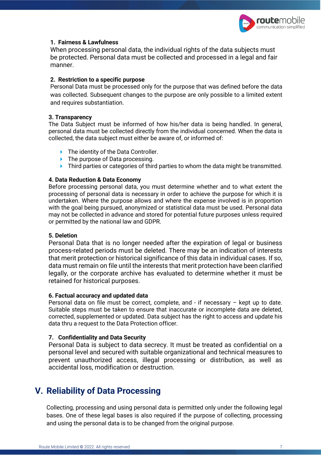

#### **1. Fairness & Lawfulness**

When processing personal data, the individual rights of the data subjects must be protected. Personal data must be collected and processed in a legal and fair manner.

#### **2. Restriction to a specific purpose**

Personal Data must be processed only for the purpose that was defined before the data was collected. Subsequent changes to the purpose are only possible to a limited extent and requires substantiation.

#### **3. Transparency**

The Data Subject must be informed of how his/her data is being handled. In general, personal data must be collected directly from the individual concerned. When the data is collected, the data subject must either be aware of, or informed of:

- $\blacktriangleright$  The identity of the Data Controller.
- $\blacktriangleright$  The purpose of Data processing.
- ▶ Third parties or categories of third parties to whom the data might be transmitted.

#### **4. Data Reduction & Data Economy**

Before processing personal data, you must determine whether and to what extent the processing of personal data is necessary in order to achieve the purpose for which it is undertaken. Where the purpose allows and where the expense involved is in proportion with the goal being pursued, anonymized or statistical data must be used. Personal data may not be collected in advance and stored for potential future purposes unless required or permitted by the national law and GDPR.

#### **5. Deletion**

Personal Data that is no longer needed after the expiration of legal or business process-related periods must be deleted. There may be an indication of interests that merit protection or historical significance of this data in individual cases. If so, data must remain on file until the interests that merit protection have been clarified legally, or the corporate archive has evaluated to determine whether it must be retained for historical purposes.

#### **6. Factual accuracy and updated data**

Personal data on file must be correct, complete, and - if necessary – kept up to date. Suitable steps must be taken to ensure that inaccurate or incomplete data are deleted, corrected, supplemented or updated. Data subject has the right to access and update his data thru a request to the Data Protection officer.

#### **7. Confidentiality and Data Security**

Personal Data is subject to data secrecy. It must be treated as confidential on a personal level and secured with suitable organizational and technical measures to prevent unauthorized access, illegal processing or distribution, as well as accidental loss, modification or destruction.

# **V. Reliability of Data Processing**

Collecting, processing and using personal data is permitted only under the following legal bases. One of these legal bases is also required if the purpose of collecting, processing and using the personal data is to be changed from the original purpose.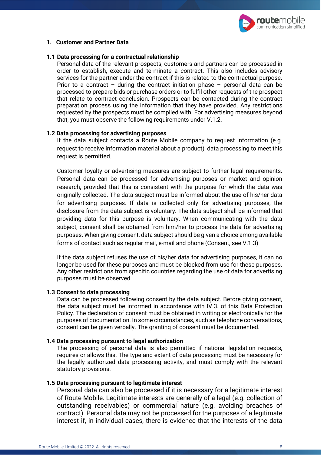

#### **1. Customer and Partner Data**

#### **1.1 Data processing for a contractual relationship**

Personal data of the relevant prospects, customers and partners can be processed in order to establish, execute and terminate a contract. This also includes advisory services for the partner under the contract if this is related to the contractual purpose. Prior to a contract – during the contract initiation phase – personal data can be processed to prepare bids or purchase orders or to fulfil other requests of the prospect that relate to contract conclusion. Prospects can be contacted during the contract preparation process using the information that they have provided. Any restrictions requested by the prospects must be complied with. For advertising measures beyond that, you must observe the following requirements under V.1.2.

#### **1.2 Data processing for advertising purposes**

If the data subject contacts a Route Mobile company to request information (e.g. request to receive information material about a product), data processing to meet this request is permitted.

Customer loyalty or advertising measures are subject to further legal requirements. Personal data can be processed for advertising purposes or market and opinion research, provided that this is consistent with the purpose for which the data was originally collected. The data subject must be informed about the use of his/her data for advertising purposes. If data is collected only for advertising purposes, the disclosure from the data subject is voluntary. The data subject shall be informed that providing data for this purpose is voluntary. When communicating with the data subject, consent shall be obtained from him/her to process the data for advertising purposes. When giving consent, data subject should be given a choice among available forms of contact such as regular mail, e-mail and phone (Consent, see V.1.3)

If the data subject refuses the use of his/her data for advertising purposes, it can no longer be used for these purposes and must be blocked from use for these purposes. Any other restrictions from specific countries regarding the use of data for advertising purposes must be observed.

#### **1.3 Consent to data processing**

Data can be processed following consent by the data subject. Before giving consent, the data subject must be informed in accordance with IV.3. of this Data Protection Policy. The declaration of consent must be obtained in writing or electronically for the purposes of documentation. In some circumstances, such as telephone conversations, consent can be given verbally. The granting of consent must be documented.

#### **1.4 Data processing pursuant to legal authorization**

The processing of personal data is also permitted if national legislation requests, requires or allows this. The type and extent of data processing must be necessary for the legally authorized data processing activity, and must comply with the relevant statutory provisions.

#### **1.5 Data processing pursuant to legitimate interest**

Personal data can also be processed if it is necessary for a legitimate interest of Route Mobile. Legitimate interests are generally of a legal (e.g. collection of outstanding receivables) or commercial nature (e.g. avoiding breaches of contract). Personal data may not be processed for the purposes of a legitimate interest if, in individual cases, there is evidence that the interests of the data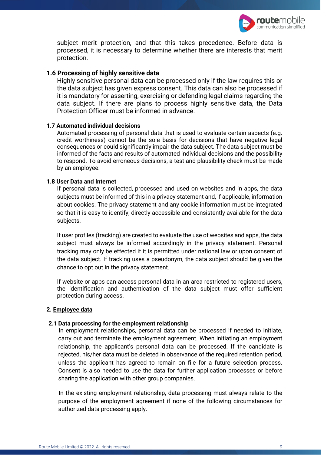

subject merit protection, and that this takes precedence. Before data is processed, it is necessary to determine whether there are interests that merit protection.

#### **1.6 Processing of highly sensitive data**

Highly sensitive personal data can be processed only if the law requires this or the data subject has given express consent. This data can also be processed if it is mandatory for asserting, exercising or defending legal claims regarding the data subject. If there are plans to process highly sensitive data, the Data Protection Officer must be informed in advance.

#### **1.7 Automated individual decisions**

Automated processing of personal data that is used to evaluate certain aspects (e.g. credit worthiness) cannot be the sole basis for decisions that have negative legal consequences or could significantly impair the data subject. The data subject must be informed of the facts and results of automated individual decisions and the possibility to respond. To avoid erroneous decisions, a test and plausibility check must be made by an employee.

#### **1.8 User Data and Internet**

If personal data is collected, processed and used on websites and in apps, the data subjects must be informed of this in a privacy statement and, if applicable, information about cookies. The privacy statement and any cookie information must be integrated so that it is easy to identify, directly accessible and consistently available for the data subjects.

If user profiles (tracking) are created to evaluate the use of websites and apps, the data subject must always be informed accordingly in the privacy statement. Personal tracking may only be effected if it is permitted under national law or upon consent of the data subject. If tracking uses a pseudonym, the data subject should be given the chance to opt out in the privacy statement.

If website or apps can access personal data in an area restricted to registered users, the identification and authentication of the data subject must offer sufficient protection during access.

#### **2. Employee data**

#### **2.1 Data processing for the employment relationship**

In employment relationships, personal data can be processed if needed to initiate, carry out and terminate the employment agreement. When initiating an employment relationship, the applicant's personal data can be processed. If the candidate is rejected, his/her data must be deleted in observance of the required retention period, unless the applicant has agreed to remain on file for a future selection process. Consent is also needed to use the data for further application processes or before sharing the application with other group companies.

In the existing employment relationship, data processing must always relate to the purpose of the employment agreement if none of the following circumstances for authorized data processing apply.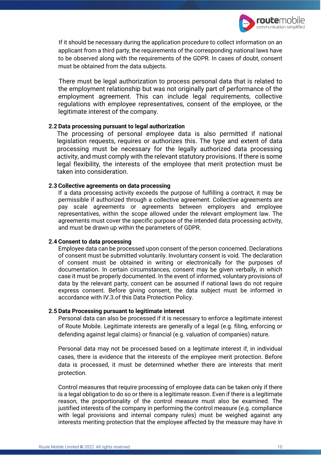

If it should be necessary during the application procedure to collect information on an applicant from a third party, the requirements of the corresponding national laws have to be observed along with the requirements of the GDPR. In cases of doubt, consent must be obtained from the data subjects.

There must be legal authorization to process personal data that is related to the employment relationship but was not originally part of performance of the employment agreement. This can include legal requirements, collective regulations with employee representatives, consent of the employee, or the legitimate interest of the company.

#### **2.2 Data processing pursuant to legal authorization**

The processing of personal employee data is also permitted if national legislation requests, requires or authorizes this. The type and extent of data processing must be necessary for the legally authorized data processing activity, and must comply with the relevant statutory provisions. If there is some legal flexibility, the interests of the employee that merit protection must be taken into consideration.

#### **2.3 Collective agreements on data processing**

If a data processing activity exceeds the purpose of fulfilling a contract, it may be permissible if authorized through a collective agreement. Collective agreements are pay scale agreements or agreements between employers and employee representatives, within the scope allowed under the relevant employment law. The agreements must cover the specific purpose of the intended data processing activity, and must be drawn up within the parameters of GDPR.

#### **2.4 Consent to data processing**

Employee data can be processed upon consent of the person concerned. Declarations of consent must be submitted voluntarily. Involuntary consent is void. The declaration of consent must be obtained in writing or electronically for the purposes of documentation. In certain circumstances, consent may be given verbally, in which case it must be properly documented. In the event of informed, voluntary provisions of data by the relevant party, consent can be assumed if national laws do not require express consent. Before giving consent, the data subject must be informed in accordance with IV.3.of this Data Protection Policy.

#### **2.5 Data Processing pursuant to legitimate interest**

Personal data can also be processed if it is necessary to enforce a legitimate interest of Route Mobile. Legitimate interests are generally of a legal (e.g. filing, enforcing or defending against legal claims) or financial (e.g. valuation of companies) nature.

Personal data may not be processed based on a legitimate interest if, in individual cases, there is evidence that the interests of the employee merit protection. Before data is processed, it must be determined whether there are interests that merit protection.

Control measures that require processing of employee data can be taken only if there is a legal obligation to do so or there is a legitimate reason. Even if there is a legitimate reason, the proportionality of the control measure must also be examined. The justified interests of the company in performing the control measure (e.g. compliance with legal provisions and internal company rules) must be weighed against any interests meriting protection that the employee affected by the measure may have in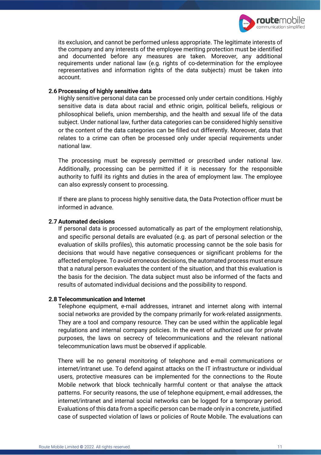

its exclusion, and cannot be performed unless appropriate. The legitimate interests of the company and any interests of the employee meriting protection must be identified and documented before any measures are taken. Moreover, any additional requirements under national law (e.g. rights of co-determination for the employee representatives and information rights of the data subjects) must be taken into account.

#### **2.6 Processing of highly sensitive data**

Highly sensitive personal data can be processed only under certain conditions. Highly sensitive data is data about racial and ethnic origin, political beliefs, religious or philosophical beliefs, union membership, and the health and sexual life of the data subject. Under national law, further data categories can be considered highly sensitive or the content of the data categories can be filled out differently. Moreover, data that relates to a crime can often be processed only under special requirements under national law.

The processing must be expressly permitted or prescribed under national law. Additionally, processing can be permitted if it is necessary for the responsible authority to fulfil its rights and duties in the area of employment law. The employee can also expressly consent to processing.

If there are plans to process highly sensitive data, the Data Protection officer must be informed in advance.

#### **2.7 Automated decisions**

If personal data is processed automatically as part of the employment relationship, and specific personal details are evaluated (e.g. as part of personal selection or the evaluation of skills profiles), this automatic processing cannot be the sole basis for decisions that would have negative consequences or significant problems for the affected employee. To avoid erroneous decisions, the automated process must ensure that a natural person evaluates the content of the situation, and that this evaluation is the basis for the decision. The data subject must also be informed of the facts and results of automated individual decisions and the possibility to respond.

#### **2.8 Telecommunication and Internet**

Telephone equipment, e-mail addresses, intranet and internet along with internal social networks are provided by the company primarily for work-related assignments. They are a tool and company resource. They can be used within the applicable legal regulations and internal company policies. In the event of authorized use for private purposes, the laws on secrecy of telecommunications and the relevant national telecommunication laws must be observed if applicable.

There will be no general monitoring of telephone and e-mail communications or internet/intranet use. To defend against attacks on the IT infrastructure or individual users, protective measures can be implemented for the connections to the Route Mobile network that block technically harmful content or that analyse the attack patterns. For security reasons, the use of telephone equipment, e-mail addresses, the internet/intranet and internal social networks can be logged for a temporary period. Evaluations of this data from a specific person can be made only in a concrete, justified case of suspected violation of laws or policies of Route Mobile. The evaluations can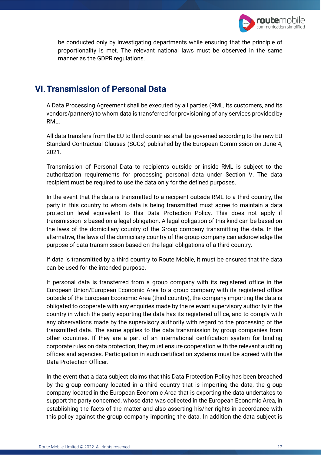

be conducted only by investigating departments while ensuring that the principle of proportionality is met. The relevant national laws must be observed in the same manner as the GDPR regulations.

# **VI.Transmission of Personal Data**

A Data Processing Agreement shall be executed by all parties (RML, its customers, and its vendors/partners) to whom data is transferred for provisioning of any services provided by RML.

All data transfers from the EU to third countries shall be governed according to the new EU Standard Contractual Clauses (SCCs) published by the European Commission on June 4, 2021.

Transmission of Personal Data to recipients outside or inside RML is subject to the authorization requirements for processing personal data under Section V. The data recipient must be required to use the data only for the defined purposes.

In the event that the data is transmitted to a recipient outside RML to a third country, the party in this country to whom data is being transmitted must agree to maintain a data protection level equivalent to this Data Protection Policy. This does not apply if transmission is based on a legal obligation. A legal obligation of this kind can be based on the laws of the domiciliary country of the Group company transmitting the data. In the alternative, the laws of the domiciliary country of the group company can acknowledge the purpose of data transmission based on the legal obligations of a third country.

If data is transmitted by a third country to Route Mobile, it must be ensured that the data can be used for the intended purpose.

If personal data is transferred from a group company with its registered office in the European Union/European Economic Area to a group company with its registered office outside of the European Economic Area (third country), the company importing the data is obligated to cooperate with any enquiries made by the relevant supervisory authority in the country in which the party exporting the data has its registered office, and to comply with any observations made by the supervisory authority with regard to the processing of the transmitted data. The same applies to the data transmission by group companies from other countries. If they are a part of an international certification system for binding corporate rules on data protection, they must ensure cooperation with the relevant auditing offices and agencies. Participation in such certification systems must be agreed with the Data Protection Officer.

In the event that a data subject claims that this Data Protection Policy has been breached by the group company located in a third country that is importing the data, the group company located in the European Economic Area that is exporting the data undertakes to support the party concerned, whose data was collected in the European Economic Area, in establishing the facts of the matter and also asserting his/her rights in accordance with this policy against the group company importing the data. In addition the data subject is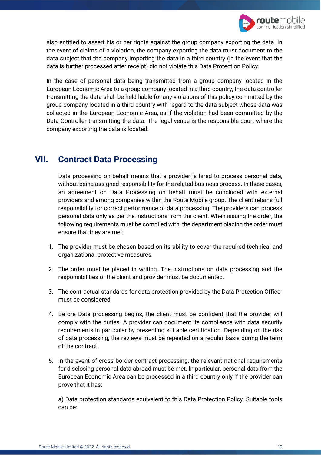

also entitled to assert his or her rights against the group company exporting the data. In the event of claims of a violation, the company exporting the data must document to the data subject that the company importing the data in a third country (in the event that the data is further processed after receipt) did not violate this Data Protection Policy.

In the case of personal data being transmitted from a group company located in the European Economic Area to a group company located in a third country, the data controller transmitting the data shall be held liable for any violations of this policy committed by the group company located in a third country with regard to the data subject whose data was collected in the European Economic Area, as if the violation had been committed by the Data Controller transmitting the data. The legal venue is the responsible court where the company exporting the data is located.

# **VII. Contract Data Processing**

Data processing on behalf means that a provider is hired to process personal data, without being assigned responsibility for the related business process. In these cases, an agreement on Data Processing on behalf must be concluded with external providers and among companies within the Route Mobile group. The client retains full responsibility for correct performance of data processing. The providers can process personal data only as per the instructions from the client. When issuing the order, the following requirements must be complied with; the department placing the order must ensure that they are met.

- 1. The provider must be chosen based on its ability to cover the required technical and organizational protective measures.
- 2. The order must be placed in writing. The instructions on data processing and the responsibilities of the client and provider must be documented.
- 3. The contractual standards for data protection provided by the Data Protection Officer must be considered.
- 4. Before Data processing begins, the client must be confident that the provider will comply with the duties. A provider can document its compliance with data security requirements in particular by presenting suitable certification. Depending on the risk of data processing, the reviews must be repeated on a regular basis during the term of the contract.
- 5. In the event of cross border contract processing, the relevant national requirements for disclosing personal data abroad must be met. In particular, personal data from the European Economic Area can be processed in a third country only if the provider can prove that it has:

a) Data protection standards equivalent to this Data Protection Policy. Suitable tools can be: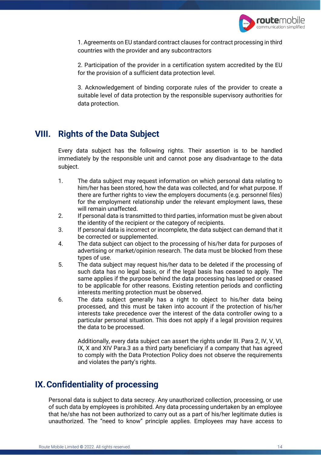

1. Agreements on EU standard contract clauses for contract processing in third countries with the provider and any subcontractors

2. Participation of the provider in a certification system accredited by the EU for the provision of a sufficient data protection level.

3. Acknowledgement of binding corporate rules of the provider to create a suitable level of data protection by the responsible supervisory authorities for data protection.

# **VIII. Rights of the Data Subject**

Every data subject has the following rights. Their assertion is to be handled immediately by the responsible unit and cannot pose any disadvantage to the data subject.

- 1. The data subject may request information on which personal data relating to him/her has been stored, how the data was collected, and for what purpose. If there are further rights to view the employers documents (e.g. personnel files) for the employment relationship under the relevant employment laws, these will remain unaffected.
- 2. If personal data is transmitted to third parties, information must be given about the identity of the recipient or the category of recipients.
- 3. If personal data is incorrect or incomplete, the data subject can demand that it be corrected or supplemented.
- 4. The data subject can object to the processing of his/her data for purposes of advertising or market/opinion research. The data must be blocked from these types of use.
- 5. The data subject may request his/her data to be deleted if the processing of such data has no legal basis, or if the legal basis has ceased to apply. The same applies if the purpose behind the data processing has lapsed or ceased to be applicable for other reasons. Existing retention periods and conflicting interests meriting protection must be observed.
- 6. The data subject generally has a right to object to his/her data being processed, and this must be taken into account if the protection of his/her interests take precedence over the interest of the data controller owing to a particular personal situation. This does not apply if a legal provision requires the data to be processed.

Additionally, every data subject can assert the rights under III. Para 2, IV, V, VI, IX, X and XIV Para.3 as a third party beneficiary if a company that has agreed to comply with the Data Protection Policy does not observe the requirements and violates the party's rights.

# **IX.Confidentiality of processing**

Personal data is subject to data secrecy. Any unauthorized collection, processing, or use of such data by employees is prohibited. Any data processing undertaken by an employee that he/she has not been authorized to carry out as a part of his/her legitimate duties is unauthorized. The "need to know" principle applies. Employees may have access to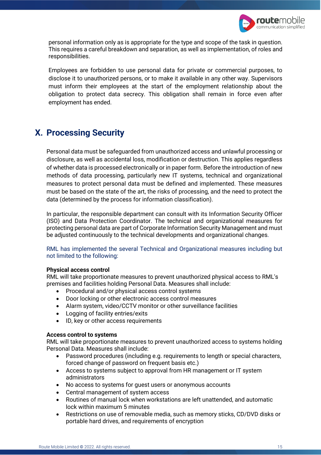

personal information only as is appropriate for the type and scope of the task in question. This requires a careful breakdown and separation, as well as implementation, of roles and responsibilities.

Employees are forbidden to use personal data for private or commercial purposes, to disclose it to unauthorized persons, or to make it available in any other way. Supervisors must inform their employees at the start of the employment relationship about the obligation to protect data secrecy. This obligation shall remain in force even after employment has ended.

# **X. Processing Security**

Personal data must be safeguarded from unauthorized access and unlawful processing or disclosure, as well as accidental loss, modification or destruction. This applies regardless of whether data is processed electronically or in paper form. Before the introduction of new methods of data processing, particularly new IT systems, technical and organizational measures to protect personal data must be defined and implemented. These measures must be based on the state of the art, the risks of processing, and the need to protect the data (determined by the process for information classification).

In particular, the responsible department can consult with its Information Security Officer (ISO) and Data Protection Coordinator. The technical and organizational measures for protecting personal data are part of Corporate Information Security Management and must be adjusted continuously to the technical developments and organizational changes.

RML has implemented the several Technical and Organizational measures including but not limited to the following:

#### **Physical access control**

RML will take proportionate measures to prevent unauthorized physical access to RML's premises and facilities holding Personal Data. Measures shall include:

- Procedural and/or physical access control systems
- Door locking or other electronic access control measures
- Alarm system, video/CCTV monitor or other surveillance facilities
- Logging of facility entries/exits
- ID, key or other access requirements

#### **Access control to systems**

RML will take proportionate measures to prevent unauthorized access to systems holding Personal Data. Measures shall include:

- Password procedures (including e.g. requirements to length or special characters, forced change of password on frequent basis etc.)
- Access to systems subject to approval from HR management or IT system administrators
- No access to systems for guest users or anonymous accounts
- Central management of system access
- Routines of manual lock when workstations are left unattended, and automatic lock within maximum 5 minutes
- Restrictions on use of removable media, such as memory sticks, CD/DVD disks or portable hard drives, and requirements of encryption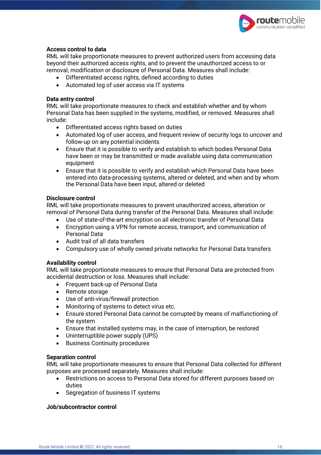

#### **Access control to data**

RML will take proportionate measures to prevent authorized users from accessing data beyond their authorized access rights, and to prevent the unauthorized access to or removal, modification or disclosure of Personal Data. Measures shall include:

- Differentiated access rights, defined according to duties
- Automated log of user access via IT systems

#### **Data entry control**

RML will take proportionate measures to check and establish whether and by whom Personal Data has been supplied in the systems, modified, or removed. Measures shall include:

- Differentiated access rights based on duties
- Automated log of user access, and frequent review of security logs to uncover and follow-up on any potential incidents
- Ensure that it is possible to verify and establish to which bodies Personal Data have been or may be transmitted or made available using data communication equipment
- Ensure that it is possible to verify and establish which Personal Data have been entered into data-processing systems, altered or deleted, and when and by whom the Personal Data have been input, altered or deleted

#### **Disclosure control**

RML will take proportionate measures to prevent unauthorized access, alteration or removal of Personal Data during transfer of the Personal Data. Measures shall include:

- Use of state-of-the-art encryption on all electronic transfer of Personal Data
- Encryption using a VPN for remote access, transport, and communication of Personal Data
- Audit trail of all data transfers
- Compulsory use of wholly owned private networks for Personal Data transfers

#### **Availability control**

RML will take proportionate measures to ensure that Personal Data are protected from accidental destruction or loss. Measures shall include:

- Frequent back-up of Personal Data
- Remote storage
- Use of anti-virus/firewall protection
- Monitoring of systems to detect virus etc.
- Ensure stored Personal Data cannot be corrupted by means of malfunctioning of the system
- Ensure that installed systems may, in the case of interruption, be restored
- Uninterruptible power supply (UPS)
- Business Continuity procedures

#### **Separation control**

RML will take proportionate measures to ensure that Personal Data collected for different purposes are processed separately. Measures shall include:

- Restrictions on access to Personal Data stored for different purposes based on duties
- Segregation of business IT systems

#### **Job/subcontractor control**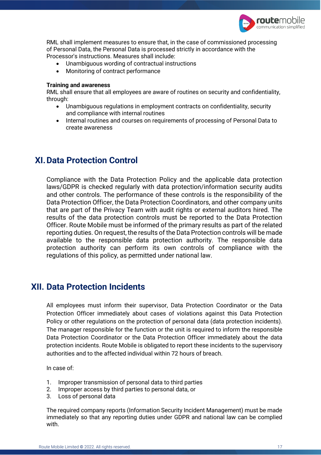

RML shall implement measures to ensure that, in the case of commissioned processing of Personal Data, the Personal Data is processed strictly in accordance with the Processor's instructions. Measures shall include:

- Unambiguous wording of contractual instructions
- Monitoring of contract performance

#### **Training and awareness**

RML shall ensure that all employees are aware of routines on security and confidentiality, through:

- Unambiguous regulations in employment contracts on confidentiality, security and compliance with internal routines
- Internal routines and courses on requirements of processing of Personal Data to create awareness

# **XI.Data Protection Control**

Compliance with the Data Protection Policy and the applicable data protection laws/GDPR is checked regularly with data protection/information security audits and other controls. The performance of these controls is the responsibility of the Data Protection Officer, the Data Protection Coordinators, and other company units that are part of the Privacy Team with audit rights or external auditors hired. The results of the data protection controls must be reported to the Data Protection Officer. Route Mobile must be informed of the primary results as part of the related reporting duties. On request, the results of the Data Protection controls will be made available to the responsible data protection authority. The responsible data protection authority can perform its own controls of compliance with the regulations of this policy, as permitted under national law.

## **XII. Data Protection Incidents**

All employees must inform their supervisor, Data Protection Coordinator or the Data Protection Officer immediately about cases of violations against this Data Protection Policy or other regulations on the protection of personal data (data protection incidents). The manager responsible for the function or the unit is required to inform the responsible Data Protection Coordinator or the Data Protection Officer immediately about the data protection incidents. Route Mobile is obligated to report these incidents to the supervisory authorities and to the affected individual within 72 hours of breach.

In case of:

- 1. Improper transmission of personal data to third parties
- 2. Improper access by third parties to personal data, or
- 3. Loss of personal data

The required company reports (Information Security Incident Management) must be made immediately so that any reporting duties under GDPR and national law can be complied with.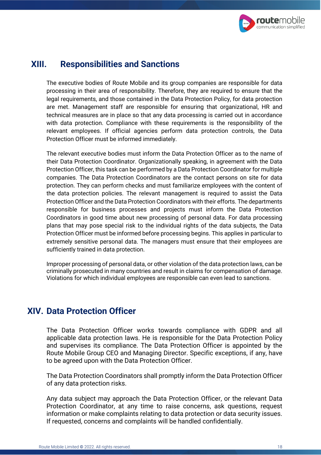

# **XIII. Responsibilities and Sanctions**

The executive bodies of Route Mobile and its group companies are responsible for data processing in their area of responsibility. Therefore, they are required to ensure that the legal requirements, and those contained in the Data Protection Policy, for data protection are met. Management staff are responsible for ensuring that organizational, HR and technical measures are in place so that any data processing is carried out in accordance with data protection. Compliance with these requirements is the responsibility of the relevant employees. If official agencies perform data protection controls, the Data Protection Officer must be informed immediately.

The relevant executive bodies must inform the Data Protection Officer as to the name of their Data Protection Coordinator. Organizationally speaking, in agreement with the Data Protection Officer, this task can be performed by a Data Protection Coordinator for multiple companies. The Data Protection Coordinators are the contact persons on site for data protection. They can perform checks and must familiarize employees with the content of the data protection policies. The relevant management is required to assist the Data Protection Officer and the Data Protection Coordinators with their efforts. The departments responsible for business processes and projects must inform the Data Protection Coordinators in good time about new processing of personal data. For data processing plans that may pose special risk to the individual rights of the data subjects, the Data Protection Officer must be informed before processing begins. This applies in particular to extremely sensitive personal data. The managers must ensure that their employees are sufficiently trained in data protection.

Improper processing of personal data, or other violation of the data protection laws, can be criminally prosecuted in many countries and result in claims for compensation of damage. Violations for which individual employees are responsible can even lead to sanctions.

# **XIV. Data Protection Officer**

The Data Protection Officer works towards compliance with GDPR and all applicable data protection laws. He is responsible for the Data Protection Policy and supervises its compliance. The Data Protection Officer is appointed by the Route Mobile Group CEO and Managing Director. Specific exceptions, if any, have to be agreed upon with the Data Protection Officer.

The Data Protection Coordinators shall promptly inform the Data Protection Officer of any data protection risks.

Any data subject may approach the Data Protection Officer, or the relevant Data Protection Coordinator, at any time to raise concerns, ask questions, request information or make complaints relating to data protection or data security issues. If requested, concerns and complaints will be handled confidentially.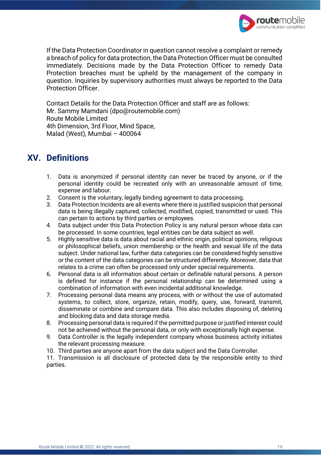

If the Data Protection Coordinator in question cannot resolve a complaint or remedy a breach of policy for data protection, the Data Protection Officer must be consulted immediately. Decisions made by the Data Protection Officer to remedy Data Protection breaches must be upheld by the management of the company in question. Inquiries by supervisory authorities must always be reported to the Data Protection Officer.

Contact Details for the Data Protection Officer and staff are as follows: Mr. Sammy Mamdani (dpo@routemobile.com) Route Mobile Limited 4th Dimension, 3rd Floor, Mind Space, Malad (West), Mumbai – 400064

# **XV. Definitions**

- 1. Data is anonymized if personal identity can never be traced by anyone, or if the personal identity could be recreated only with an unreasonable amount of time, expense and labour.
- 2. Consent is the voluntary, legally binding agreement to data processing.
- 3. Data Protection Incidents are all events where there is justified suspicion that personal data is being illegally captured, collected, modified, copied, transmitted or used. This can pertain to actions by third parties or employees.
- 4. Data subject under this Data Protection Policy is any natural person whose data can be processed. In some countries, legal entities can be data subject as well.
- 5. Highly sensitive data is data about racial and ethnic origin, political opinions, religious or philosophical beliefs, union membership or the health and sexual life of the data subject. Under national law, further data categories can be considered highly sensitive or the content of the data categories can be structured differently. Moreover, data that relates to a crime can often be processed only under special requirements.
- 6. Personal data is all information about certain or definable natural persons. A person is defined for instance if the personal relationship can be determined using a combination of information with even incidental additional knowledge.
- 7. Processing personal data means any process, with or without the use of automated systems, to collect, store, organize, retain, modify, query, use, forward, transmit, disseminate or combine and compare data. This also includes disposing of, deleting and blocking data and data storage media.
- 8. Processing personal data is required if the permitted purpose or justified interest could not be achieved without the personal data, or only with exceptionally high expense.
- 9. Data Controller is the legally independent company whose business activity initiates the relevant processing measure.
- 10. Third parties are anyone apart from the data subject and the Data Controller.

11. Transmission is all disclosure of protected data by the responsible entity to third parties.